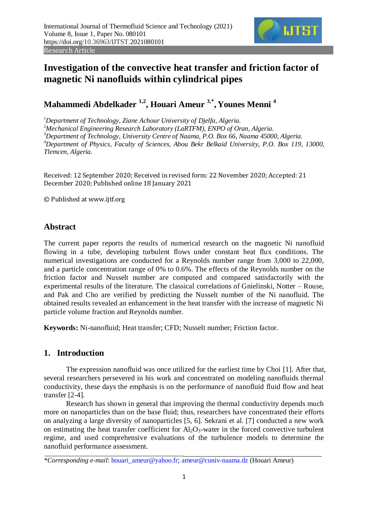

# **Investigation of the convective heat transfer and friction factor of magnetic Ni nanofluids within cylindrical pipes**

**Mahammedi Abdelkader 1,2, Houari Ameur 3,\* , Younes Menni <sup>4</sup>**

*Department of Technology, Ziane Achour University of Djelfa, Algeria. Mechanical Engineering Research Laboratory (LaRTFM), ENPO of Oran, Algeria. Department of Technology, University Centre of Naama, P.O. Box 66, Naama 45000, Algeria. Department of Physics, Faculty of Sciences, Abou Bekr Belkaid University, P.O. Box 119, 13000, Tlemcen, Algeria.*

Received: 12 September 2020; Received in revised form: 22 November 2020; Accepted: 21 December 2020; Published online 18 January 2021

© Published at www.ijtf.org

# **Abstract**

The current paper reports the results of numerical research on the magnetic Ni nanofluid flowing in a tube, developing turbulent flows under constant heat flux conditions. The numerical investigations are conducted for a Reynolds number range from 3,000 to 22,000, and a particle concentration range of 0% to 0.6%. The effects of the Reynolds number on the friction factor and Nusselt number are computed and compared satisfactorily with the experimental results of the literature. The classical correlations of Gnielinski, Notter – Rouse, and Pak and Cho are verified by predicting the Nusselt number of the Ni nanofluid. The obtained results revealed an enhancement in the heat transfer with the increase of magnetic Ni particle volume fraction and Reynolds number.

**Keywords:** Ni-nanofluid; Heat transfer; CFD; Nusselt number; Friction factor.

# **1. Introduction**

The expression nanofluid was once utilized for the earliest time by Choi [\[1\]](#page-11-0). After that, several researchers persevered in his work and concentrated on modeling nanofluids thermal conductivity, these days the emphasis is on the performance of nanofluid fluid flow and heat transfer [\[2-4\]](#page-11-1).

Research has shown in general that improving the thermal conductivity depends much more on nanoparticles than on the base fluid; thus, researchers have concentrated their efforts on analyzing a large diversity of nanoparticles [\[5,](#page-12-0) [6\]](#page-12-1). Sekrani et al. [\[7\]](#page-12-2) conducted a new work on estimating the heat transfer coefficient for  $Al_2O_3$ -water in the forced convective turbulent regime, and used comprehensive evaluations of the turbulence models to determine the nanofluid performance assessment.

*<sup>\*</sup>Corresponding e-mail*: houari\_ameur@yahoo.fr; ameur@cuniv-naama.dz (Houari Ameur)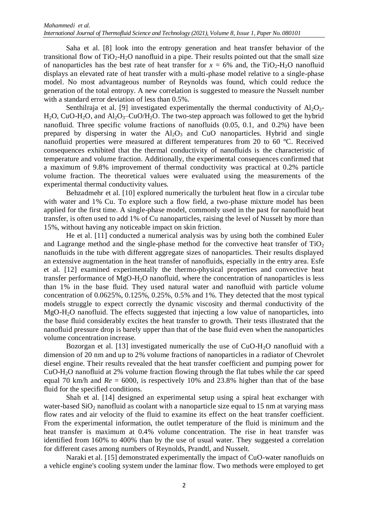Saha et al. [\[8\]](#page-12-3) look into the entropy generation and heat transfer behavior of the transitional flow of  $TiO<sub>2</sub>-H<sub>2</sub>O$  nanofluid in a pipe. Their results pointed out that the small size of nanoparticles has the best rate of heat transfer for  $x = 6\%$  and, the TiO<sub>2</sub>-H<sub>2</sub>O nanofluid displays an elevated rate of heat transfer with a multi-phase model relative to a single-phase model. No most advantageous number of Reynolds was found, which could reduce the generation of the total entropy. A new correlation is suggested to measure the Nusselt number with a standard error deviation of less than 0.5%.

Senthilraja et al. [\[9\]](#page-12-4) investigated experimentally the thermal conductivity of  $Al_2O_3$ - $H_2O$ , CuO-H<sub>2</sub>O, and Al<sub>2</sub>O<sub>3</sub>–CuO/H<sub>2</sub>O. The two-step approach was followed to get the hybrid nanofluid. Three specific volume fractions of nanofluids (0.05, 0.1, and 0.2%) have been prepared by dispersing in water the  $A<sub>12</sub>O<sub>3</sub>$  and CuO nanoparticles. Hybrid and single nanofluid properties were measured at different temperatures from 20 to 60 °C. Received consequences exhibited that the thermal conductivity of nanofluids is the characteristic of temperature and volume fraction. Additionally, the experimental consequences confirmed that a maximum of 9.8% improvement of thermal conductivity was practical at 0.2% particle volume fraction. The theoretical values were evaluated using the measurements of the experimental thermal conductivity values.

Behzadmehr et al. [\[10\]](#page-12-5) explored numerically the turbulent heat flow in a circular tube with water and 1% Cu. To explore such a flow field, a two-phase mixture model has been applied for the first time. A single-phase model, commonly used in the past for nanofluid heat transfer, is often used to add 1% of Cu nanoparticles, raising the level of Nusselt by more than 15%, without having any noticeable impact on skin friction.

He et al. [\[11\]](#page-12-6) conducted a numerical analysis was by using both the combined Euler and Lagrange method and the single-phase method for the convective heat transfer of  $TiO<sub>2</sub>$ nanofluids in the tube with different aggregate sizes of nanoparticles. Their results displayed an extensive augmentation in the heat transfer of nanofluids, especially in the entry area. Esfe et al. [\[12\]](#page-12-7) examined experimentally the thermo-physical properties and convective heat transfer performance of MgO-H2O nanofluid, where the concentration of nanoparticles is less than 1% in the base fluid. They used natural water and nanofluid with particle volume concentration of 0.0625%, 0.125%, 0.25%, 0.5% and 1%. They detected that the most typical models struggle to expect correctly the dynamic viscosity and thermal conductivity of the MgO-H2O nanofluid. The effects suggested that injecting a low value of nanoparticles, into the base fluid considerably excites the heat transfer to growth. Their tests illustrated that the nanofluid pressure drop is barely upper than that of the base fluid even when the nanoparticles volume concentration increase.

Bozorgan et al. [\[13\]](#page-12-8) investigated numerically the use of  $CuO-H<sub>2</sub>O$  nanofluid with a dimension of 20 nm and up to 2% volume fractions of nanoparticles in a radiator of Chevrolet diesel engine. Their results revealed that the heat transfer coefficient and pumping power for CuO-H2O nanofluid at 2% volume fraction flowing through the flat tubes while the car speed equal 70 km/h and  $Re = 6000$ , is respectively 10% and 23.8% higher than that of the base fluid for the specified conditions.

Shah et al. [\[14\]](#page-12-9) designed an experimental setup using a spiral heat exchanger with water-based  $SiO<sub>2</sub>$  nanofluid as coolant with a nanoparticle size equal to 15 nm at varying mass flow rates and air velocity of the fluid to examine its effect on the heat transfer coefficient. From the experimental information, the outlet temperature of the fluid is minimum and the heat transfer is maximum at 0.4% volume concentration. The rise in heat transfer was identified from 160% to 400% than by the use of usual water. They suggested a correlation for different cases among numbers of Reynolds, Prandtl, and Nusselt.

Naraki et al. [\[15\]](#page-12-10) demonstrated experimentally the impact of CuO-water nanofluids on a vehicle engine's cooling system under the laminar flow. Two methods were employed to get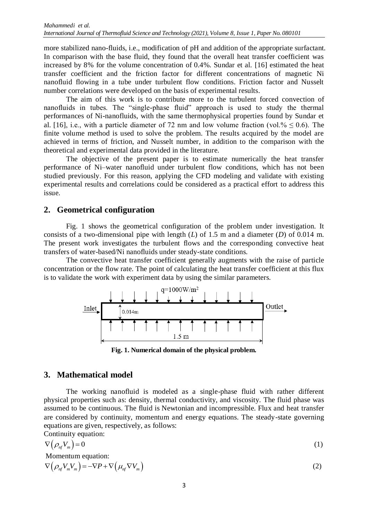more stabilized nano-fluids, i.e., modification of pH and addition of the appropriate surfactant. In comparison with the base fluid, they found that the overall heat transfer coefficient was increased by 8% for the volume concentration of 0.4%. Sundar et al. [\[16\]](#page-12-11) estimated the heat transfer coefficient and the friction factor for different concentrations of magnetic Ni nanofluid flowing in a tube under turbulent flow conditions. Friction factor and Nusselt number correlations were developed on the basis of experimental results.

The aim of this work is to contribute more to the turbulent forced convection of nanofluids in tubes. The "single-phase fluid" approach is used to study the thermal performances of Ni-nanofluids, with the same thermophysical properties found by Sundar et al. [\[16\]](#page-12-11), i.e., with a particle diameter of 72 nm and low volume fraction (vol.%  $\leq$  0.6). The finite volume method is used to solve the problem. The results acquired by the model are achieved in terms of friction, and Nusselt number, in addition to the comparison with the theoretical and experimental data provided in the literature.

The objective of the present paper is to estimate numerically the heat transfer performance of Ni–water nanofluid under turbulent flow conditions, which has not been studied previously. For this reason, applying the CFD modeling and validate with existing experimental results and correlations could be considered as a practical effort to address this issue.

## **2. Geometrical configuration**

Fig. 1 shows the geometrical configuration of the problem under investigation. It consists of a two-dimensional pipe with length (*L*) of 1.5 m and a diameter (*D*) of 0.014 m. The present work investigates the turbulent flows and the corresponding convective heat transfers of water-based/Ni nanofluids under steady-state conditions.

The convective heat transfer coefficient generally augments with the raise of particle concentration or the flow rate. The point of calculating the heat transfer coefficient at this flux is to validate the work with experiment data by using the similar parameters.



**Fig. 1. Numerical domain of the physical problem.**

## **3. Mathematical model**

The working nanofluid is modeled as a single-phase fluid with rather different physical properties such as: density, thermal conductivity, and viscosity. The fluid phase was assumed to be continuous. The fluid is Newtonian and incompressible. Flux and heat transfer are considered by continuity, momentum and energy equations. The steady-state governing equations are given, respectively, as follows:

Continuity equation:

$$
\nabla \left( \rho_{n f} V_m \right) = 0 \tag{1}
$$

Momentum equation:

$$
\text{Momentum equation:} \\ \nabla \left( \rho_{nf} V_m V_m \right) = -\nabla P + \nabla \left( \mu_{nf} \nabla V_m \right) \tag{2}
$$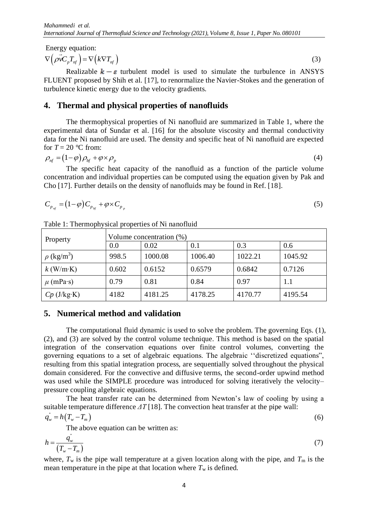Energy equation:

 $\nabla(\vec{\rho v}C_p T_{nf}) = \nabla(k \nabla T_{nf})$ (3)

Realizable  $k - \varepsilon$  turbulent model is used to simulate the turbulence in ANSYS FLUENT proposed by Shih et al. [\[17\]](#page-12-12), to renormalize the Navier-Stokes and the generation of turbulence kinetic energy due to the velocity gradients.

## **4. Thermal and physical properties of nanofluids**

The thermophysical properties of Ni nanofluid are summarized in Table 1, where the experimental data of Sundar et al. [\[16\]](#page-12-11) for the absolute viscosity and thermal conductivity data for the Ni nanofluid are used. The density and specific heat of Ni nanofluid are expected for  $T = 20$  °C from:

$$
\rho_{nf} = (1 - \varphi)\rho_{bf} + \varphi \times \rho_p \tag{4}
$$

The specific heat capacity of the nanofluid as a function of the particle volume concentration and individual properties can be computed using the equation given by Pak and Cho [17]. Further details on the density of nanofluids may be found in Ref. [18].

$$
C_{p_{\eta f}} = (1 - \varphi) C_{p_{\theta f}} + \varphi \times C_{p_p} \tag{5}
$$

| Property                    | Volume concentration (%) |         |         |         |         |
|-----------------------------|--------------------------|---------|---------|---------|---------|
|                             | 0.0                      | 0.02    | 0.1     | 0.3     | 0.6     |
| $\rho$ (kg/m <sup>3</sup> ) | 998.5                    | 1000.08 | 1006.40 | 1022.21 | 1045.92 |
| $k$ (W/m·K)                 | 0.602                    | 0.6152  | 0.6579  | 0.6842  | 0.7126  |
| $\mu$ (mPa·s)               | 0.79                     | 0.81    | 0.84    | 0.97    | 1.1     |
| $Cp$ (J/kg·K)               | 4182                     | 4181.25 | 4178.25 | 4170.77 | 4195.54 |

Table 1: Thermophysical properties of Ni nanofluid

## **5. Numerical method and validation**

The computational fluid dynamic is used to solve the problem. The governing Eqs. (1), (2), and (3) are solved by the control volume technique. This method is based on the spatial integration of the conservation equations over finite control volumes, converting the governing equations to a set of algebraic equations. The algebraic ''discretized equations", resulting from this spatial integration process, are sequentially solved throughout the physical domain considered. For the convective and diffusive terms, the second-order upwind method was used while the SIMPLE procedure was introduced for solving iteratively the velocity– pressure coupling algebraic equations.

The heat transfer rate can be determined from Newton's law of cooling by using a suitable temperature difference *ΔT* [\[18\]](#page-13-0). The convection heat transfer at the pipe wall:

$$
q_w = h(T_w - T_m) \tag{6}
$$

The above equation can be written as:

$$
h = \frac{q_w}{\left(T_w - T_m\right)}\tag{7}
$$

where,  $T_w$  is the pipe wall temperature at a given location along with the pipe, and  $T_m$  is the mean temperature in the pipe at that location where  $T_w$  is defined.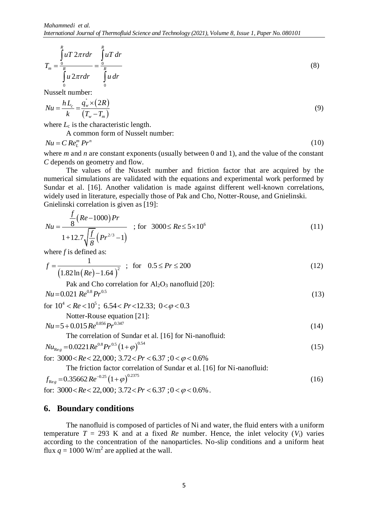$$
T_m = \frac{\int\limits_0^R u T 2\pi r dr}{\int\limits_0^R u 2\pi r dr} = \frac{\int\limits_0^R u T dr}{\int\limits_0^R u dr}
$$
\n(8)

Nusselt number:

$$
Nu = \frac{h\,L_c}{k} = \frac{q_w^* \times (2R)}{(T_w - T_m)}
$$
(9)

where  $L_c$  is the characteristic length.

A common form of Nusselt number:

 $Nu = C Re_L^m Pr^n$ (10)

where *m* and *n* are constant exponents (usually between 0 and 1), and the value of the constant *C* depends on geometry and flow.

The values of the Nusselt number and friction factor that are acquired by the numerical simulations are validated with the equations and experimental work performed by Sundar et al. [\[16\]](#page-12-11). Another validation is made against different well-known correlations, widely used in literature, especially those of Pak and Cho, Notter-Rouse, and Gnielinski.

Gnielinski correlation is given as [19]:  
\n
$$
Nu = \frac{\frac{f}{8}(Re-1000)Pr}{1+12.7\sqrt{\frac{f}{8}}(Pr^{2/3}-1)}
$$
\nfor 3000 $\leq Re \leq 5 \times 10^6$  (11)

where *f* is defined as:  
\n
$$
f = \frac{1}{(1.82 \ln (Re) - 1.64)^2}
$$
; for  $0.5 \le Pr \le 200$  (12)

Pak and Cho correlation for  $Al_2O_3$  nanofluid [\[20\]](#page-13-2):  $Nu = 0.021 \, Re^{0.8} Pr^{0.5}$  (13)

 $Nu = 0.021$   $Re^{0.8} Pr^{0.5}$ <br>for  $10^4 < Re < 10^5$ ; 6.54  $Pr < 12.33$ ; 0  $< \varphi < 0.3$ 

Notter-Rouse equation [\[21\]](#page-13-3):

$$
Nu = 5 + 0.015 \, Re^{0.856} Pr^{0.347}
$$
 (14)

The correlation of Sundar et al. [\[16\]](#page-12-11) for Ni-nanofluid:

The correlation of Sunder et al. [16] for N1-nanofluid:  
\n
$$
Nu_{\text{Re}g} = 0.0221 \, Re^{0.8} Pr^{0.5} \left(1 + \varphi\right)^{0.54}
$$
\nfor: 3000 < Re < 22,000; 3.72 < Pr < 6.37; 0 < \varphi < 0.6\%\n(15)

The friction factor correlation of Sundar et al. [16] for Ni-nanofluid:  
\n
$$
f_{\text{Re}_g} = 0.35662 \, Re^{-0.25} (1+\varphi)^{0.2375}
$$
  
\nfor: 3000 < Re < 22,000; 3.72 < Pr < 6.37; 0 < \varphi < 0.6\%. (16)

#### **6. Boundary conditions**

The nanofluid is composed of particles of Ni and water, the fluid enters with a uniform temperature  $T = 293$  K and at a fixed *Re* number. Hence, the inlet velocity  $(V_i)$  varies according to the concentration of the nanoparticles. No-slip conditions and a uniform heat flux  $q = 1000$  W/m<sup>2</sup> are applied at the wall.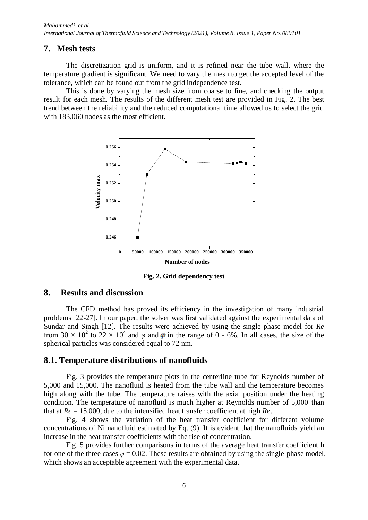#### **7. Mesh tests**

The discretization grid is uniform, and it is refined near the tube wall, where the temperature gradient is significant. We need to vary the mesh to get the accepted level of the tolerance, which can be found out from the grid independence test.

This is done by varying the mesh size from coarse to fine, and checking the output result for each mesh. The results of the different mesh test are provided in Fig. 2. The best trend between the reliability and the reduced computational time allowed us to select the grid with 183,060 nodes as the most efficient.



**Fig. 2. Grid dependency test**

#### **8. Results and discussion**

The CFD method has proved its efficiency in the investigation of many industrial problems [22-27]. In our paper, the solver was first validated against the experimental data of Sundar and Singh [12]. The results were achieved by using the single-phase model for *Re* from 30  $\times$  10<sup>2</sup> to 22  $\times$  10<sup>4</sup> and  $\varphi$  and  $\varphi$  in the range of 0 - 6%. In all cases, the size of the spherical particles was considered equal to 72 nm.

## **8.1. Temperature distributions of nanofluids**

Fig. 3 provides the temperature plots in the centerline tube for Reynolds number of 5,000 and 15,000. The nanofluid is heated from the tube wall and the temperature becomes high along with the tube. The temperature raises with the axial position under the heating condition. The temperature of nanofluid is much higher at Reynolds number of 5,000 than that at *Re* = 15,000, due to the intensified heat transfer coefficient at high *Re*.

Fig. 4 shows the variation of the heat transfer coefficient for different volume concentrations of Ni nanofluid estimated by Eq. (9). It is evident that the nanofluids yield an increase in the heat transfer coefficients with the rise of concentration.

Fig. 5 provides further comparisons in terms of the average heat transfer coefficient h for one of the three cases  $\varphi = 0.02$ . These results are obtained by using the single-phase model, which shows an acceptable agreement with the experimental data.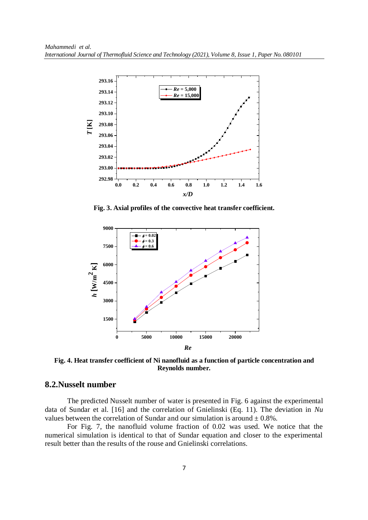

**Fig. 3. Axial profiles of the convective heat transfer coefficient.**



**Fig. 4. Heat transfer coefficient of Ni nanofluid as a function of particle concentration and Reynolds number.**

#### **8.2.Nusselt number**

The predicted Nusselt number of water is presented in Fig. 6 against the experimental data of Sundar et al. [\[16\]](#page-12-13) and the correlation of Gnielinski (Eq. 11). The deviation in *Nu* values between the correlation of Sundar and our simulation is around  $\pm 0.8\%$ .

For Fig. 7, the nanofluid volume fraction of 0.02 was used. We notice that the numerical simulation is identical to that of Sundar equation and closer to the experimental result better than the results of the rouse and Gnielinski correlations.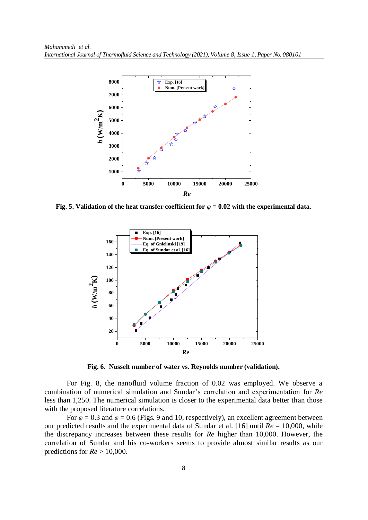

**Fig. 5. Validation of the heat transfer coefficient for** *φ* **= 0.02 with the experimental data.**



**Fig. 6. Nusselt number of water vs. Reynolds number (validation).**

For Fig. 8, the nanofluid volume fraction of 0.02 was employed. We observe a combination of numerical simulation and Sundar's correlation and experimentation for *Re* less than 1,250. The numerical simulation is closer to the experimental data better than those with the proposed literature correlations.

For  $\varphi$  = 0.3 and  $\varphi$  = 0.6 (Figs. 9 and 10, respectively), an excellent agreement between our predicted results and the experimental data of Sundar et al. [\[16\]](#page-12-13) until *Re* = 10,000, while the discrepancy increases between these results for *Re* higher than 10,000. However, the correlation of Sundar and his co-workers seems to provide almost similar results as our predictions for *Re* > 10,000.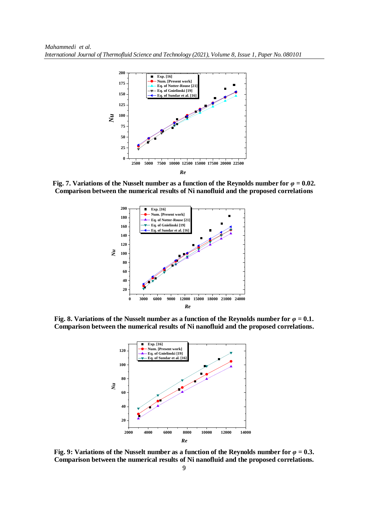

**Fig. 7. Variations of the Nusselt number as a function of the Reynolds number for**  $\varphi = 0.02$ **. Comparison between the numerical results of Ni nanofluid and the proposed correlations**



**Fig. 8. Variations of the Nusselt number as a function of the Reynolds number for** *φ* **= 0.1. Comparison between the numerical results of Ni nanofluid and the proposed correlations.**



**Fig. 9: Variations of the Nusselt number as a function of the Reynolds number for** *φ* **= 0.3. Comparison between the numerical results of Ni nanofluid and the proposed correlations.**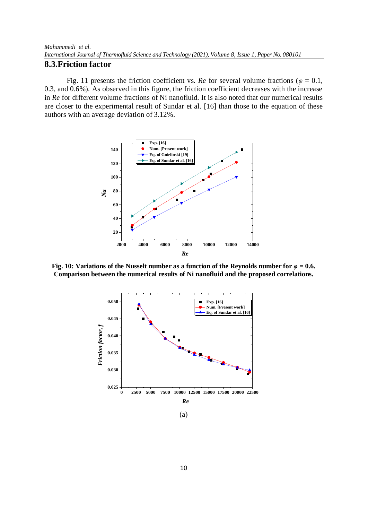#### **8.3.Friction factor**

Fig. 11 presents the friction coefficient vs. *Re* for several volume fractions ( $\varphi = 0.1$ , 0.3, and 0.6%). As observed in this figure, the friction coefficient decreases with the increase in *Re* for different volume fractions of Ni nanofluid. It is also noted that our numerical results are closer to the experimental result of Sundar et al. [\[16\]](#page-12-13) than those to the equation of these authors with an average deviation of 3.12%.



**Fig. 10: Variations of the Nusselt number as a function of the Reynolds number for**  $\varphi = 0.6$ **. Comparison between the numerical results of Ni nanofluid and the proposed correlations.**

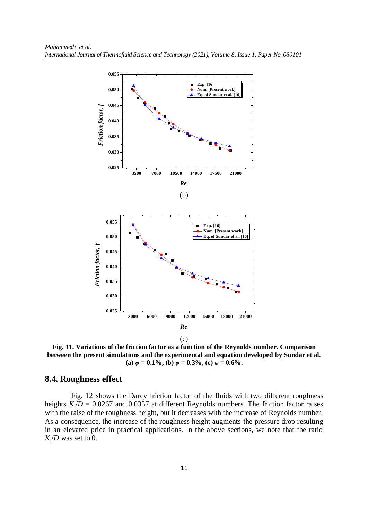

(c)

**Fig. 11. Variations of the friction factor as a function of the Reynolds number. Comparison between the present simulations and the experimental and equation developed by Sundar et al. (a)**  $\varphi = 0.1\%$ , **(b)**  $\varphi = 0.3\%$ , **(c)**  $\varphi = 0.6\%$ .

#### **8.4. Roughness effect**

Fig. 12 shows the Darcy friction factor of the fluids with two different roughness heights  $K_s/D = 0.0267$  and 0.0357 at different Reynolds numbers. The friction factor raises with the raise of the roughness height, but it decreases with the increase of Reynolds number. As a consequence, the increase of the roughness height augments the pressure drop resulting in an elevated price in practical applications. In the above sections, we note that the ratio  $K_s/D$  was set to 0.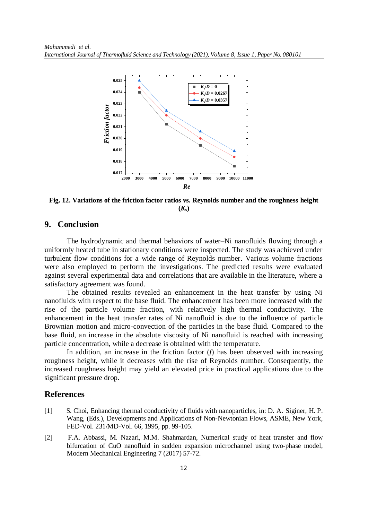

**Fig. 12. Variations of the friction factor ratios vs. Reynolds number and the roughness height**   $(K_s)$ 

#### **9. Conclusion**

The hydrodynamic and thermal behaviors of water–Ni nanofluids flowing through a uniformly heated tube in stationary conditions were inspected. The study was achieved under turbulent flow conditions for a wide range of Reynolds number. Various volume fractions were also employed to perform the investigations. The predicted results were evaluated against several experimental data and correlations that are available in the literature, where a satisfactory agreement was found.

The obtained results revealed an enhancement in the heat transfer by using Ni nanofluids with respect to the base fluid. The enhancement has been more increased with the rise of the particle volume fraction, with relatively high thermal conductivity. The enhancement in the heat transfer rates of Ni nanofluid is due to the influence of particle Brownian motion and micro-convection of the particles in the base fluid. Compared to the base fluid, an increase in the absolute viscosity of Ni nanofluid is reached with increasing particle concentration, while a decrease is obtained with the temperature.

In addition, an increase in the friction factor (*f*) has been observed with increasing roughness height, while it decreases with the rise of Reynolds number. Consequently, the increased roughness height may yield an elevated price in practical applications due to the significant pressure drop.

#### **References**

- <span id="page-11-0"></span>[1] S. Choi, Enhancing thermal conductivity of fluids with nanoparticles, in: D. A. Siginer, H. P. Wang, (Eds.), Developments and Applications of Non-Newtonian Flows, ASME, New York, FED-Vol. 231/MD-Vol. 66, 1995, pp. 99-105.
- <span id="page-11-1"></span>[2] F.A. Abbassi, M. Nazari, M.M. Shahmardan, Numerical study of heat transfer and flow bifurcation of CuO nanofluid in sudden expansion microchannel using two-phase model, Modern Mechanical Engineering 7 (2017) 57-72.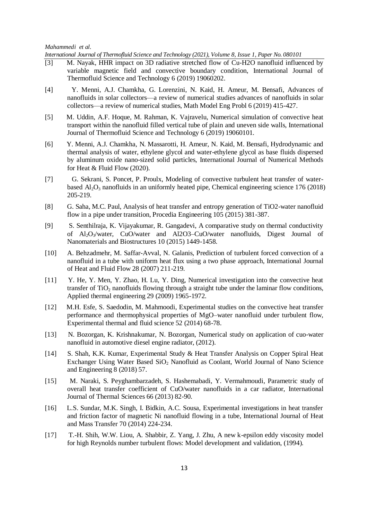*International Journal of Thermofluid Science and Technology (2021), Volume 8, Issue 1, Paper No. 080101*

- [3] M. Nayak, HHR impact on 3D radiative stretched flow of Cu-H2O nanofluid influenced by variable magnetic field and convective boundary condition, International Journal of Thermofluid Science and Technology 6 (2019) 19060202.
- [4] Y. Menni, A.J. Chamkha, G. Lorenzini, N. Kaid, H. Ameur, M. Bensafi, Advances of nanofluids in solar collectors—a review of numerical studies advances of nanofluids in solar collectors—a review of numerical studies, Math Model Eng Probl 6 (2019) 415-427.
- <span id="page-12-0"></span>[5] M. Uddin, A.F. Hoque, M. Rahman, K. Vajravelu, Numerical simulation of convective heat transport within the nanofluid filled vertical tube of plain and uneven side walls, International Journal of Thermofluid Science and Technology 6 (2019) 19060101.
- <span id="page-12-1"></span>[6] Y. Menni, A.J. Chamkha, N. Massarotti, H. Ameur, N. Kaid, M. Bensafi, Hydrodynamic and thermal analysis of water, ethylene glycol and water-ethylene glycol as base fluids dispersed by aluminum oxide nano-sized solid particles, International Journal of Numerical Methods for Heat & Fluid Flow (2020).
- <span id="page-12-2"></span>[7] G. Sekrani, S. Poncet, P. Proulx, Modeling of convective turbulent heat transfer of waterbased  $\text{Al}_2\text{O}_3$  nanofluids in an uniformly heated pipe, Chemical engineering science 176 (2018) 205-219.
- <span id="page-12-3"></span>[8] G. Saha, M.C. Paul, Analysis of heat transfer and entropy generation of TiO2-water nanofluid flow in a pipe under transition, Procedia Engineering 105 (2015) 381-387.
- <span id="page-12-4"></span>[9] S. Senthilraja, K. Vijayakumar, R. Gangadevi, A comparative study on thermal conductivity of Al2O3/water, CuO/water and Al2O3–CuO/water nanofluids, Digest Journal of Nanomaterials and Biostructures 10 (2015) 1449-1458.
- <span id="page-12-5"></span>[10] A. Behzadmehr, M. Saffar-Avval, N. Galanis, Prediction of turbulent forced convection of a nanofluid in a tube with uniform heat flux using a two phase approach, International Journal of Heat and Fluid Flow 28 (2007) 211-219.
- <span id="page-12-6"></span>[11] Y. He, Y. Men, Y. Zhao, H. Lu, Y. Ding, Numerical investigation into the convective heat transfer of TiO<sub>2</sub> nanofluids flowing through a straight tube under the laminar flow conditions, Applied thermal engineering 29 (2009) 1965-1972.
- <span id="page-12-7"></span>[12] M.H. Esfe, S. Saedodin, M. Mahmoodi, Experimental studies on the convective heat transfer performance and thermophysical properties of MgO–water nanofluid under turbulent flow, Experimental thermal and fluid science 52 (2014) 68-78.
- <span id="page-12-8"></span>[13] N. Bozorgan, K. Krishnakumar, N. Bozorgan, Numerical study on application of cuo-water nanofluid in automotive diesel engine radiator, (2012).
- <span id="page-12-9"></span>[14] S. Shah, K.K. Kumar, Experimental Study & Heat Transfer Analysis on Copper Spiral Heat Exchanger Using Water Based  $SiO<sub>2</sub>$  Nanofluid as Coolant, World Journal of Nano Science and Engineering 8 (2018) 57.
- <span id="page-12-10"></span>[15] M. Naraki, S. Peyghambarzadeh, S. Hashemabadi, Y. Vermahmoudi, Parametric study of overall heat transfer coefficient of CuO/water nanofluids in a car radiator, International Journal of Thermal Sciences 66 (2013) 82-90.
- <span id="page-12-13"></span><span id="page-12-11"></span>[16] L.S. Sundar, M.K. Singh, I. Bidkin, A.C. Sousa, Experimental investigations in heat transfer and friction factor of magnetic Ni nanofluid flowing in a tube, International Journal of Heat and Mass Transfer 70 (2014) 224-234.
- <span id="page-12-12"></span>[17] T.-H. Shih, W.W. Liou, A. Shabbir, Z. Yang, J. Zhu, A new k-epsilon eddy viscosity model for high Reynolds number turbulent flows: Model development and validation, (1994).